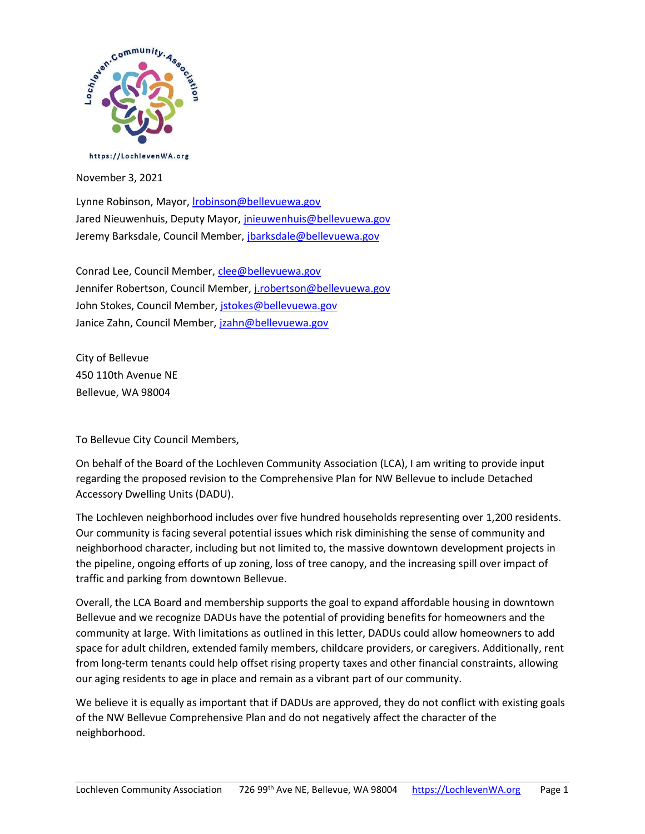

https://LochlevenWA.org

November 3, 2021

Lynne Robinson, Mayor, *Irobinson@bellevuewa.gov* Jared Nieuwenhuis, Deputy Mayor, *jnieuwenhuis@bellevuewa.gov* Jeremy Barksdale, Council Member, jbarksdale@bellevuewa.gov

Conrad Lee, Council Member, clee@bellevuewa.gov Jennifer Robertson, Council Member, j.robertson@bellevuewa.gov John Stokes, Council Member, jstokes@bellevuewa.gov Janice Zahn, Council Member, jzahn@bellevuewa.gov

City of Bellevue 450 110th Avenue NE Bellevue, WA 98004

To Bellevue City Council Members,

On behalf of the Board of the Lochleven Community Association (LCA), I am writing to provide input regarding the proposed revision to the Comprehensive Plan for NW Bellevue to include Detached Accessory Dwelling Units (DADU).

The Lochleven neighborhood includes over five hundred households representing over 1,200 residents. Our community is facing several potential issues which risk diminishing the sense of community and neighborhood character, including but not limited to, the massive downtown development projects in the pipeline, ongoing efforts of up zoning, loss of tree canopy, and the increasing spill over impact of traffic and parking from downtown Bellevue.

Overall, the LCA Board and membership supports the goal to expand affordable housing in downtown Bellevue and we recognize DADUs have the potential of providing benefits for homeowners and the community at large. With limitations as outlined in this letter, DADUs could allow homeowners to add space for adult children, extended family members, childcare providers, or caregivers. Additionally, rent from long-term tenants could help offset rising property taxes and other financial constraints, allowing our aging residents to age in place and remain as a vibrant part of our community.

We believe it is equally as important that if DADUs are approved, they do not conflict with existing goals of the NW Bellevue Comprehensive Plan and do not negatively affect the character of the neighborhood.